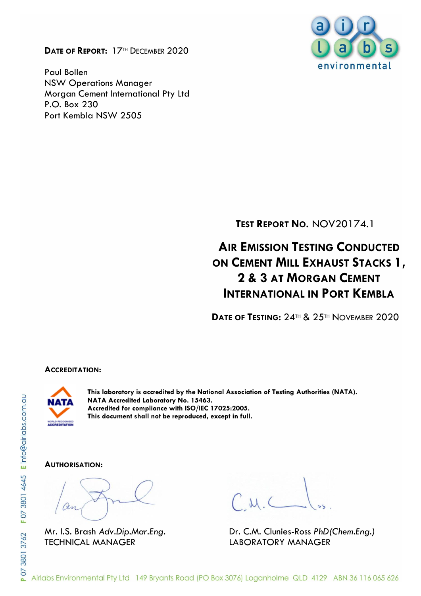**DATE OF REPORT:** 17TH DECEMBER 2020

Paul Bollen NSW Operations Manager Morgan Cement International Pty Ltd P.O. Box 230 Port Kembla NSW 2505



**TEST REPORT NO.** NOV20174.1

# **AIR EMISSION TESTING CONDUCTED ON CEMENT MILL EXHAUST STACKS 1, 2 & 3 AT MORGAN CEMENT INTERNATIONAL IN PORT KEMBLA**

**DATE OF TESTING:** 24TH & 25TH NOVEMBER 2020

#### **ACCREDITATION:**



**This laboratory is accredited by the National Association of Testing Authorities (NATA). NATA Accredited Laboratory No. 15463. Accredited for compliance with ISO/IEC 17025:2005. This document shall not be reproduced, except in full.**

#### **AUTHORISATION:**

TECHNICAL MANAGER LABORATORY MANAGER

Mr. I.S. Brash *Adv.Dip.Mar.Eng.* Dr. C.M. Clunies-Ross *PhD(Chem.Eng.)*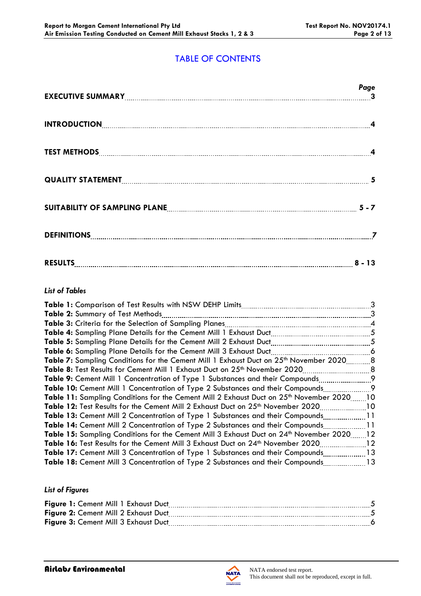# TABLE OF CONTENTS

|                                                                     | Page |
|---------------------------------------------------------------------|------|
| INTRODUCTION 4                                                      |      |
|                                                                     |      |
|                                                                     |      |
| SUITABILITY OF SAMPLING PLANE <b>[19] THE READER ASSESSED</b> 5 - 7 |      |
|                                                                     |      |
|                                                                     |      |

### *List of Tables*

|                                                                                                    | 3                          |
|----------------------------------------------------------------------------------------------------|----------------------------|
| Table 2: Summary of Test Methods                                                                   | 3                          |
| <b>Table 3:</b> Criteria for the Selection of Sampling Planes                                      |                            |
|                                                                                                    | 5                          |
| Table 5: Sampling Plane Details for the Cement Mill 2 Exhaust Duct.                                | 5                          |
| Table 6: Sampling Plane Details for the Cement Mill 3 Exhaust Duct                                 | $\overline{\phantom{a}}$ 6 |
| Table 7: Sampling Conditions for the Cement Mill 1 Exhaust Duct on 25 <sup>th</sup> November 2020  | - 8                        |
| . 8<br>Table 8: Test Results for Cement Mill 1 Exhaust Duct on 25th November 2020                  |                            |
| <b>Table 9:</b> Cement Mill 1 Concentration of Type 1 Substances and their Compounds               | $\overline{9}$             |
| <b>Table 10:</b> Cement Mill 1 Concentration of Type 2 Substances and their Compounds              | $\overline{9}$             |
| Table 11: Sampling Conditions for the Cement Mill 2 Exhaust Duct on 25 <sup>th</sup> November 2020 | 10                         |
| Table 12: Test Results for the Cement Mill 2 Exhaust Duct on 25 <sup>th</sup> November 2020        | 10                         |
| <b>Table 13:</b> Cement Mill 2 Concentration of Type 1 Substances and their Compounds              | $\overline{11}$            |
| <b>Table 14:</b> Cement Mill 2 Concentration of Type 2 Substances and their Compounds              | $\sqrt{11}$                |
| Table 15: Sampling Conditions for the Cement Mill 3 Exhaust Duct on 24 <sup>th</sup> November 2020 | $\overline{12}$            |
| Table 16: Test Results for the Cement Mill 3 Exhaust Duct on 24 <sup>th</sup> November 2020        | 12                         |
| Table 17: Cement Mill 3 Concentration of Type 1 Substances and their Compounds13                   |                            |
| Table 18: Cement Mill 3 Concentration of Type 2 Substances and their Compounds13                   |                            |
|                                                                                                    |                            |

### *List of Figures*

| Figure 1: Cement Mill 1 Exhaust Duct |  |
|--------------------------------------|--|
| Figure 2: Cement Mill 2 Exhaust Duct |  |
| Figure 3: Cement Mill 3 Exhaust Duct |  |

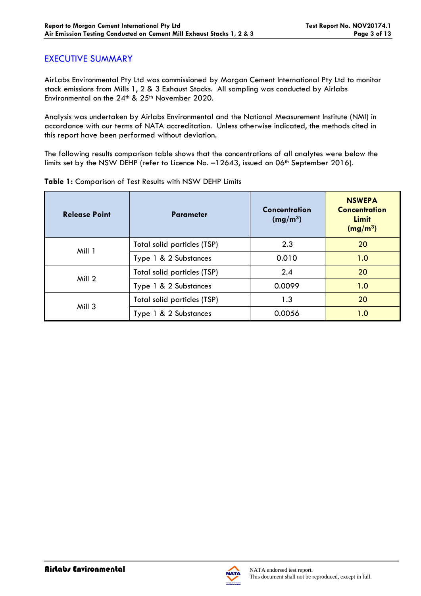### EXECUTIVE SUMMARY

AirLabs Environmental Pty Ltd was commissioned by Morgan Cement International Pty Ltd to monitor stack emissions from Mills 1, 2 & 3 Exhaust Stacks. All sampling was conducted by Airlabs Environmental on the 24<sup>th</sup> & 25<sup>th</sup> November 2020.

Analysis was undertaken by Airlabs Environmental and the National Measurement Institute (NMI) in accordance with our terms of NATA accreditation. Unless otherwise indicated, the methods cited in this report have been performed without deviation.

The following results comparison table shows that the concentrations of all analytes were below the limits set by the NSW DEHP (refer to Licence No. -12643, issued on 06<sup>th</sup> September 2016).

| <b>Release Point</b> | <b>Parameter</b>            | <b>Concentration</b><br>(mg/m <sup>3</sup> ) | <b>NSWEPA</b><br><b>Concentration</b><br>Limit<br>(mg/m <sup>3</sup> ) |
|----------------------|-----------------------------|----------------------------------------------|------------------------------------------------------------------------|
| Mill 1               | Total solid particles (TSP) | 2.3                                          | 20                                                                     |
|                      | Type 1 & 2 Substances       | 0.010                                        | 1.0                                                                    |
| Mill 2               | Total solid particles (TSP) | 2.4                                          | 20                                                                     |
|                      | Type 1 & 2 Substances       | 0.0099                                       | 1.0                                                                    |
| Mill 3               | Total solid particles (TSP) | 1.3                                          | 20                                                                     |
|                      | Type 1 & 2 Substances       | 0.0056                                       | 1.0                                                                    |

**Table 1:** Comparison of Test Results with NSW DEHP Limits

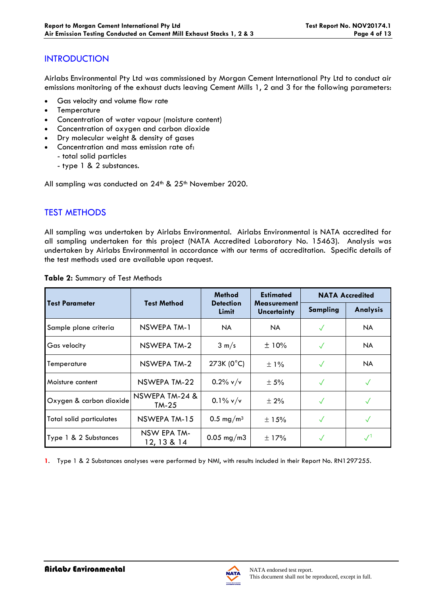### **INTRODUCTION**

Airlabs Environmental Pty Ltd was commissioned by Morgan Cement International Pty Ltd to conduct air emissions monitoring of the exhaust ducts leaving Cement Mills 1, 2 and 3 for the following parameters:

- Gas velocity and volume flow rate
- **Temperature**
- Concentration of water vapour (moisture content)
- Concentration of oxygen and carbon dioxide
- Dry molecular weight & density of gases
- Concentration and mass emission rate of:
	- total solid particles
		- type 1 & 2 substances.

All sampling was conducted on 24<sup>th</sup> & 25<sup>th</sup> November 2020.

# TEST METHODS

All sampling was undertaken by Airlabs Environmental. Airlabs Environmental is NATA accredited for all sampling undertaken for this project (NATA Accredited Laboratory No. 15463). Analysis was undertaken by Airlabs Environmental in accordance with our terms of accreditation. Specific details of the test methods used are available upon request.

|                                 |                            | <b>Method</b>             | <b>Estimated</b>                         |              | <b>NATA Accredited</b> |
|---------------------------------|----------------------------|---------------------------|------------------------------------------|--------------|------------------------|
| <b>Test Parameter</b>           | <b>Test Method</b>         | <b>Detection</b><br>Limit | <b>Measurement</b><br><b>Uncertainty</b> | Sampling     | <b>Analysis</b>        |
| Sample plane criteria           | NSWEPA TM-1                | NA.                       | NA.                                      | $\checkmark$ | <b>NA</b>              |
| Gas velocity                    | NSWEPA TM-2                | $3 \text{ m/s}$           | ±10%                                     | $\checkmark$ | <b>NA</b>              |
| Temperature                     | NSWEPA TM-2                | 273K (0°C)                | $\pm$ 1%                                 | $\sqrt{}$    | <b>NA</b>              |
| Moisture content                | NSWEPA TM-22               | $0.2\%$ v/v               | ± 5%                                     | $\checkmark$ | $\checkmark$           |
| Oxygen & carbon dioxide         | NSWEPA TM-24 &<br>$TM-25$  | $0.1\%$ v/v               | $± 2\%$                                  | $\checkmark$ |                        |
| <b>Total solid particulates</b> | NSWEPA TM-15               | 0.5 mg/m <sup>3</sup>     | $\pm$ 15%                                | $\checkmark$ |                        |
| Type 1 & 2 Substances           | NSW EPA TM-<br>12, 13 & 14 | $0.05$ mg/m3              | ±17%                                     |              |                        |

**Table 2:** Summary of Test Methods

**1**. Type 1 & 2 Substances analyses were performed by NMI, with results included in their Report No. RN1297255.

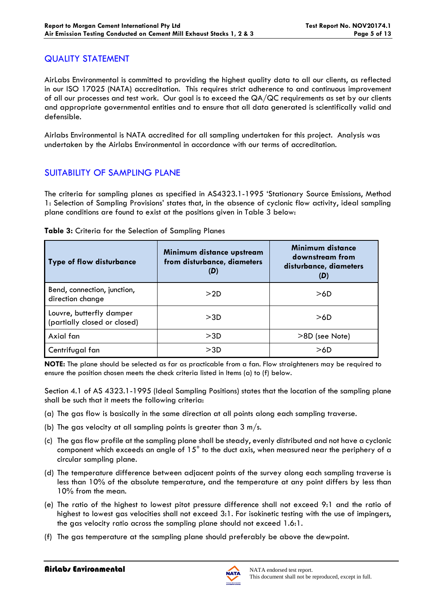### QUALITY STATEMENT

AirLabs Environmental is committed to providing the highest quality data to all our clients, as reflected in our ISO 17025 (NATA) accreditation. This requires strict adherence to and continuous improvement of all our processes and test work. Our goal is to exceed the QA/QC requirements as set by our clients and appropriate governmental entities and to ensure that all data generated is scientifically valid and defensible.

Airlabs Environmental is NATA accredited for all sampling undertaken for this project. Analysis was undertaken by the Airlabs Environmental in accordance with our terms of accreditation.

### SUITABILITY OF SAMPLING PLANE

The criteria for sampling planes as specified in AS4323.1-1995 'Stationary Source Emissions, Method 1: Selection of Sampling Provisions' states that, in the absence of cyclonic flow activity, ideal sampling plane conditions are found to exist at the positions given in Table 3 below:

| <b>Type of flow disturbance</b>                          | Minimum distance upstream<br>from disturbance, diameters<br>(D) | Minimum distance<br>downstream from<br>disturbance, diameters<br>(D) |
|----------------------------------------------------------|-----------------------------------------------------------------|----------------------------------------------------------------------|
| Bend, connection, junction,<br>direction change          | >2D                                                             | >6D                                                                  |
| Louvre, butterfly damper<br>(partially closed or closed) | >3D                                                             | >6D                                                                  |
| Axial fan                                                | >3D                                                             | >8D (see Note)                                                       |
| Centrifugal fan                                          | >3D                                                             | >6D                                                                  |

#### **Table 3:** Criteria for the Selection of Sampling Planes

**NOTE:** The plane should be selected as far as practicable from a fan. Flow straighteners may be required to ensure the position chosen meets the check criteria listed in Items (a) to (f) below.

Section 4.1 of AS 4323.1-1995 (Ideal Sampling Positions) states that the location of the sampling plane shall be such that it meets the following criteria:

- (a) The gas flow is basically in the same direction at all points along each sampling traverse.
- (b) The gas velocity at all sampling points is greater than  $3 \text{ m/s}$ .
- (c) The gas flow profile at the sampling plane shall be steady, evenly distributed and not have a cyclonic component which exceeds an angle of 15° to the duct axis, when measured near the periphery of a circular sampling plane.
- (d) The temperature difference between adjacent points of the survey along each sampling traverse is less than 10% of the absolute temperature, and the temperature at any point differs by less than 10% from the mean.
- (e) The ratio of the highest to lowest pitot pressure difference shall not exceed 9:1 and the ratio of highest to lowest gas velocities shall not exceed 3:1. For isokinetic testing with the use of impingers, the gas velocity ratio across the sampling plane should not exceed 1.6:1.
- (f) The gas temperature at the sampling plane should preferably be above the dewpoint.

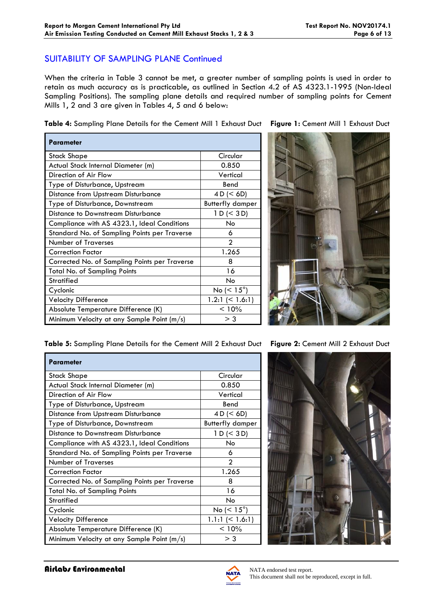### SUITABILITY OF SAMPLING PLANE Continued

When the criteria in Table 3 cannot be met, a greater number of sampling points is used in order to retain as much accuracy as is practicable, as outlined in Section 4.2 of AS 4323.1-1995 (Non-Ideal Sampling Positions). The sampling plane details and required number of sampling points for Cement Mills 1, 2 and 3 are given in Tables 4, 5 and 6 below:

**Table 4:** Sampling Plane Details for the Cement Mill 1 Exhaust Duct **Figure 1:** Cement Mill 1 Exhaust Duct

| Parameter                                     |                          |
|-----------------------------------------------|--------------------------|
| Stack Shape                                   | Circular                 |
| Actual Stack Internal Diameter (m)            | 0.850                    |
| Direction of Air Flow                         | Vertical                 |
| Type of Disturbance, Upstream                 | Bend                     |
| <b>Distance from Upstream Disturbance</b>     | 4 D (< 6D)               |
| Type of Disturbance, Downstream               | <b>Butterfly damper</b>  |
| Distance to Downstream Disturbance            | 1 D (< 3 D)              |
| Compliance with AS 4323.1, Ideal Conditions   | No                       |
| Standard No. of Sampling Points per Traverse  | 6                        |
| <b>Number of Traverses</b>                    | $\mathfrak{p}$           |
| <b>Correction Factor</b>                      | 1.265                    |
| Corrected No. of Sampling Points per Traverse | 8                        |
| Total No. of Sampling Points                  | 16                       |
| <b>Stratified</b>                             | No                       |
| Cyclonic                                      | No ( $\leq 15^{\circ}$ ) |
| <b>Velocity Difference</b>                    | 1.2:1 $(< 1.6:1)$        |
| Absolute Temperature Difference (K)           | < 10%                    |
| Minimum Velocity at any Sample Point (m/s)    | > 3                      |

**Table 5:** Sampling Plane Details for the Cement Mill 2 Exhaust Duct **Figure 2:** Cement Mill 2 Exhaust Duct

| <b>Parameter</b>                              |                         |
|-----------------------------------------------|-------------------------|
| <b>Stack Shape</b>                            | Circular                |
| Actual Stack Internal Diameter (m)            | 0.850                   |
| Direction of Air Flow                         | Vertical                |
| Type of Disturbance, Upstream                 | Bend                    |
| Distance from Upstream Disturbance            | 4 D (< 6D)              |
| Type of Disturbance, Downstream               | <b>Butterfly damper</b> |
| Distance to Downstream Disturbance            | 1 D (< 3 D)             |
| Compliance with AS 4323.1, Ideal Conditions   | No.                     |
| Standard No. of Sampling Points per Traverse  | 6                       |
| <b>Number of Traverses</b>                    | $\mathfrak{D}$          |
| <b>Correction Factor</b>                      | 1.265                   |
| Corrected No. of Sampling Points per Traverse | 8                       |
| <b>Total No. of Sampling Points</b>           | 16                      |
| <b>Stratified</b>                             | No                      |
| Cyclonic                                      | No $(< 15^{\circ})$     |
| <b>Velocity Difference</b>                    | $1.1:1 \leq 1.6:1$      |
| Absolute Temperature Difference (K)           | < 10%                   |
| Minimum Velocity at any Sample Point (m/s)    | $>$ 3                   |





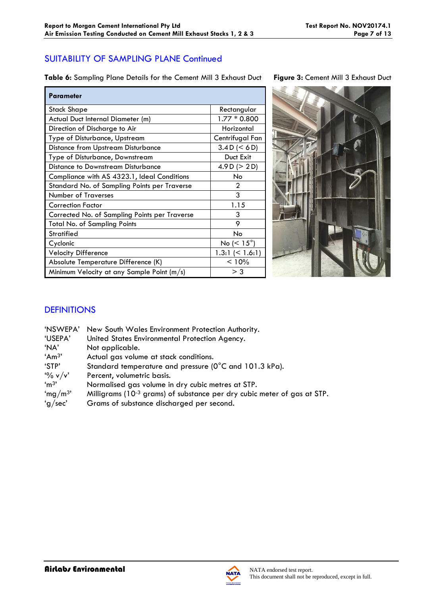# SUITABILITY OF SAMPLING PLANE Continued

**Table 6:** Sampling Plane Details for the Cement Mill 3 Exhaust Duct **Figure 3:** Cement Mill 3 Exhaust Duct

| Parameter                                     |                       |
|-----------------------------------------------|-----------------------|
| <b>Stack Shape</b>                            | Rectangular           |
| Actual Duct Internal Diameter (m)             | $1.77 * 0.800$        |
| Direction of Discharge to Air                 | Horizontal            |
| Type of Disturbance, Upstream                 | Centrifugal Fan       |
| <b>Distance from Upstream Disturbance</b>     | 3.4 D (< 6 D)         |
| Type of Disturbance, Downstream               | Duct Exit             |
| Distance to Downstream Disturbance            | 4.9 D ( $>$ 2 D)      |
| Compliance with AS 4323.1, Ideal Conditions   | No                    |
| Standard No. of Sampling Points per Traverse  | 2                     |
| <b>Number of Traverses</b>                    | 3                     |
| Correction Factor                             | 1.15                  |
| Corrected No. of Sampling Points per Traverse | 3                     |
| <b>Total No. of Sampling Points</b>           | 9                     |
| Stratified                                    | No                    |
| Cyclonic                                      | No ( $< 15^{\circ}$ ) |
| <b>Velocity Difference</b>                    | $1.3:1 \leq 1.6:1$    |
| Absolute Temperature Difference (K)           | < 10%                 |
| Minimum Velocity at any Sample Point (m/s)    | $>$ 3                 |



# **DEFINITIONS**

| 'NSWEPA'            | New South Wales Environment Protection Authority.                                   |
|---------------------|-------------------------------------------------------------------------------------|
| 'USEPA'             | United States Environmental Protection Agency.                                      |
| 'NA'                | Not applicable.                                                                     |
| Am <sup>3</sup>     | Actual gas volume at stack conditions.                                              |
| 'STP'               | Standard temperature and pressure (0°C and 101.3 kPa).                              |
| $\frac{10}{6}$ v/v' | Percent, volumetric basis.                                                          |
| $\mathrm{m}^3$      | Normalised gas volume in dry cubic metres at STP.                                   |
| 'mg/m <sup>3'</sup> | Milligrams (10 <sup>-3</sup> grams) of substance per dry cubic meter of gas at STP. |
| 'g/sec'             | Grams of substance discharged per second.                                           |
|                     |                                                                                     |

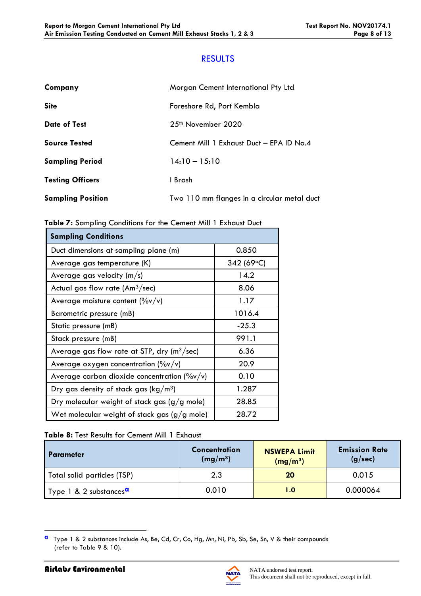### RESULTS

| Company                  | Morgan Cement International Pty Ltd         |
|--------------------------|---------------------------------------------|
| <b>Site</b>              | Foreshore Rd, Port Kembla                   |
| <b>Date of Test</b>      | 25 <sup>th</sup> November 2020              |
| <b>Source Tested</b>     | Cement Mill 1 Exhaust Duct - EPA ID No.4    |
| <b>Sampling Period</b>   | $14:10 - 15:10$                             |
| <b>Testing Officers</b>  | 1 Brash                                     |
| <b>Sampling Position</b> | Two 110 mm flanges in a circular metal duct |

|--|

| <b>Sampling Conditions</b>                                |            |
|-----------------------------------------------------------|------------|
| Duct dimensions at sampling plane (m)                     | 0.850      |
| Average gas temperature (K)                               | 342 (69°C) |
| Average gas velocity (m/s)                                | 14.2       |
| Actual gas flow rate $(Am3/sec)$                          | 8.06       |
| Average moisture content $(\%v/v)$                        | 1.17       |
| Barometric pressure (mB)                                  | 1016.4     |
| Static pressure (mB)                                      | $-25.3$    |
| Stack pressure (mB)                                       | 991.1      |
| Average gas flow rate at STP, dry ( $m^3$ /sec)           | 6.36       |
| Average oxygen concentration $(\%v/v)$                    | 20.9       |
| Average carbon dioxide concentration ( $\frac{9}{9}$ v/v) | 0.10       |
| Dry gas density of stack gas ( $\text{kg}/\text{m}^3$ )   | 1.287      |
| Dry molecular weight of stack gas $(g/g$ mole)            | 28.85      |
| Wet molecular weight of stack gas $(g/g \text{ mole})$    | 28.72      |

### **Table 8:** Test Results for Cement Mill 1 Exhaust

| I Parameter                        | <b>Concentration</b><br>(mg/m <sup>3</sup> ) | <b>NSWEPA Limit</b><br>(mg/m <sup>3</sup> ) | <b>Emission Rate</b><br>(g/sec) |
|------------------------------------|----------------------------------------------|---------------------------------------------|---------------------------------|
| Total solid particles (TSP)        | 2.3                                          | 20                                          | 0.015                           |
| Type 1 & 2 substances <sup>a</sup> | 0.010                                        | 1.0                                         | 0.000064                        |



**a** Type 1 & 2 substances include As, Be, Cd, Cr, Co, Hg, Mn, Ni, Pb, Sb, Se, Sn, V & their compounds (refer to Table 9 & 10).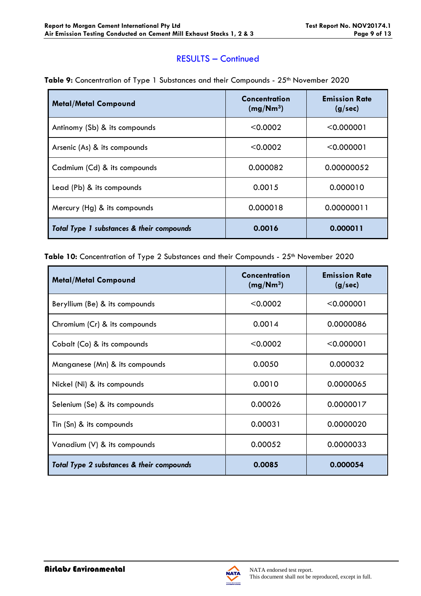### RESULTS – Continued

| <b>Metal/Metal Compound</b>               | Concentration<br>(mg/Nm <sup>3</sup> ) | <b>Emission Rate</b><br>(g/sec) |
|-------------------------------------------|----------------------------------------|---------------------------------|
| Antinomy (Sb) & its compounds             | < 0.0002                               | < 0.000001                      |
| Arsenic (As) & its compounds              | < 0.0002                               | < 0.000001                      |
| Cadmium (Cd) & its compounds              | 0.000082                               | 0.00000052                      |
| Lead (Pb) & its compounds                 | 0.0015                                 | 0.000010                        |
| Mercury (Hg) & its compounds              | 0.000018                               | 0.00000011                      |
| Total Type 1 substances & their compounds | 0.0016                                 | 0.000011                        |

Table 9: Concentration of Type 1 Substances and their Compounds - 25<sup>th</sup> November 2020

Table 10: Concentration of Type 2 Substances and their Compounds - 25<sup>th</sup> November 2020

| <b>Metal/Metal Compound</b>               | Concentration<br>(mg/Nm <sup>3</sup> ) | <b>Emission Rate</b><br>(g/sec) |
|-------------------------------------------|----------------------------------------|---------------------------------|
| Beryllium (Be) & its compounds            | < 0.0002                               | < 0.000001                      |
| Chromium (Cr) & its compounds             | 0.0014                                 | 0.0000086                       |
| Cobalt (Co) & its compounds               | < 0.0002                               | < 0.000001                      |
| Manganese (Mn) & its compounds            | 0.0050                                 | 0.000032                        |
| Nickel (Ni) & its compounds               | 0.0010                                 | 0.0000065                       |
| Selenium (Se) & its compounds             | 0.00026                                | 0.0000017                       |
| Tin (Sn) & its compounds                  | 0.00031                                | 0.0000020                       |
| Vanadium (V) & its compounds              | 0.00052                                | 0.0000033                       |
| Total Type 2 substances & their compounds | 0.0085                                 | 0.000054                        |



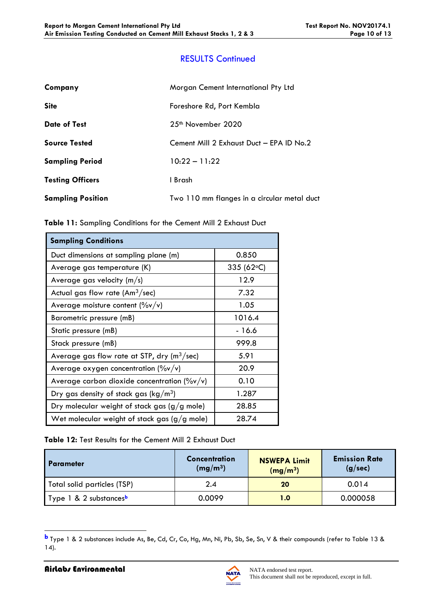# RESULTS Continued

| Company                  | Morgan Cement International Pty Ltd         |
|--------------------------|---------------------------------------------|
| <b>Site</b>              | Foreshore Rd, Port Kembla                   |
| <b>Date of Test</b>      | $25th$ November 2020                        |
| <b>Source Tested</b>     | Cement Mill 2 Exhaust Duct - EPA ID No.2    |
| <b>Sampling Period</b>   | $10:22 - 11:22$                             |
| <b>Testing Officers</b>  | I Brash                                     |
| <b>Sampling Position</b> | Two 110 mm flanges in a circular metal duct |

|  |  |  | Table 11: Sampling Conditions for the Cement Mill 2 Exhaust Duct |  |  |  |  |  |
|--|--|--|------------------------------------------------------------------|--|--|--|--|--|
|--|--|--|------------------------------------------------------------------|--|--|--|--|--|

| <b>Sampling Conditions</b>                                          |                    |
|---------------------------------------------------------------------|--------------------|
| Duct dimensions at sampling plane (m)                               | 0.850              |
| Average gas temperature (K)                                         | 335 (62 $\circ$ C) |
| Average gas velocity $(m/s)$                                        | 12.9               |
| Actual gas flow rate $(Am3/sec)$                                    | 7.32               |
| Average moisture content $(\%v/v)$                                  | 1.05               |
| Barometric pressure (mB)                                            | 1016.4             |
| Static pressure (mB)                                                | $-16.6$            |
| Stack pressure (mB)                                                 | 999.8              |
| Average gas flow rate at STP, $\frac{dy}{dx}$ (m <sup>3</sup> /sec) | 5.91               |
| Average oxygen concentration $(\%v/v)$                              | 20.9               |
| Average carbon dioxide concentration $(\frac{9}{9}v/v)$             | 0.10               |
| Dry gas density of stack gas ( $\text{kg}/\text{m}^3$ )             | 1.287              |
| Dry molecular weight of stack gas (g/g mole)                        | 28.85              |
| Wet molecular weight of stack gas $(g/g$ mole)                      | 28.74              |

**Table 12:** Test Results for the Cement Mill 2 Exhaust Duct

| <b>Parameter</b>                   | Concentration<br>(mg/m <sup>3</sup> ) | <b>NSWEPA Limit</b><br>(mg/m <sup>3</sup> ) | <b>Emission Rate</b><br>(g/sec) |
|------------------------------------|---------------------------------------|---------------------------------------------|---------------------------------|
| Total solid particles (TSP)        | 2.4                                   | 20                                          | 0.014                           |
| Type 1 & 2 substances <sup>b</sup> | 0.0099                                | 1.0                                         | 0.000058                        |

**b** Type 1 & 2 substances include As, Be, Cd, Cr, Co, Hg, Mn, Ni, Pb, Sb, Se, Sn, V & their compounds (refer to Table 13 & 14).

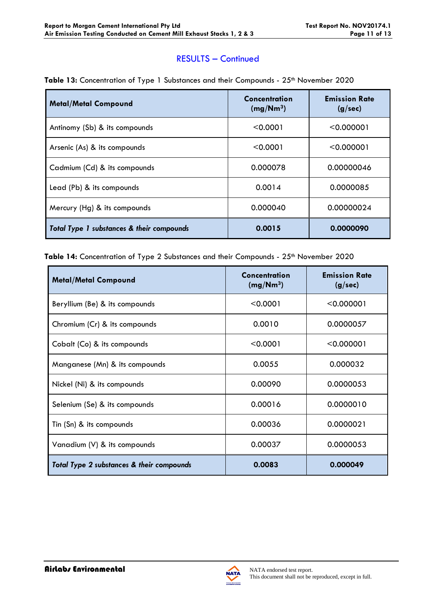### RESULTS – Continued

| <b>Metal/Metal Compound</b>               | Concentration<br>(mg/Nm <sup>3</sup> ) | <b>Emission Rate</b><br>(g/sec) |
|-------------------------------------------|----------------------------------------|---------------------------------|
| Antinomy (Sb) & its compounds             | < 0.0001                               | < 0.000001                      |
| Arsenic (As) & its compounds              | < 0.0001                               | < 0.000001                      |
| Cadmium (Cd) & its compounds              | 0.000078                               | 0.00000046                      |
| Lead (Pb) & its compounds                 | 0.0014                                 | 0.0000085                       |
| Mercury (Hg) & its compounds              | 0.000040                               | 0.00000024                      |
| Total Type 1 substances & their compounds | 0.0015                                 | 0.0000090                       |

#### Table 13: Concentration of Type 1 Substances and their Compounds - 25<sup>th</sup> November 2020

Table 14: Concentration of Type 2 Substances and their Compounds - 25<sup>th</sup> November 2020

| <b>Metal/Metal Compound</b>               | Concentration<br>(mg/Nm <sup>3</sup> ) | <b>Emission Rate</b><br>(g/sec) |
|-------------------------------------------|----------------------------------------|---------------------------------|
| Beryllium (Be) & its compounds            | < 0.0001                               | < 0.000001                      |
| Chromium (Cr) & its compounds             | 0.0010                                 | 0.0000057                       |
| Cobalt (Co) & its compounds               | < 0.0001                               | < 0.000001                      |
| Manganese (Mn) & its compounds            | 0.0055                                 | 0.000032                        |
| Nickel (Ni) & its compounds               | 0.00090                                | 0.0000053                       |
| Selenium (Se) & its compounds             | 0.00016                                | 0.0000010                       |
| Tin (Sn) & its compounds                  | 0.00036                                | 0.0000021                       |
| Vanadium (V) & its compounds              | 0.00037                                | 0.0000053                       |
| Total Type 2 substances & their compounds | 0.0083                                 | 0.000049                        |

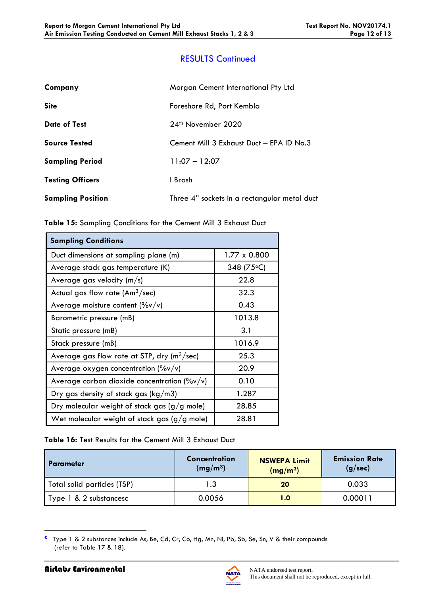# RESULTS Continued

| Company                  | Morgan Cement International Pty Ltd          |
|--------------------------|----------------------------------------------|
| <b>Site</b>              | Foreshore Rd, Port Kembla                    |
| <b>Date of Test</b>      | 24 <sup>th</sup> November 2020               |
| <b>Source Tested</b>     | Cement Mill 3 Exhaust Duct - EPA ID No.3     |
| <b>Sampling Period</b>   | $11:07 - 12:07$                              |
| <b>Testing Officers</b>  | I Brash                                      |
| <b>Sampling Position</b> | Three 4" sockets in a rectangular metal duct |

| Table 15: Sampling Conditions for the Cement Mill 3 Exhaust Duct |  |
|------------------------------------------------------------------|--|
|------------------------------------------------------------------|--|

| <b>Sampling Conditions</b>                                |              |  |  |
|-----------------------------------------------------------|--------------|--|--|
| Duct dimensions at sampling plane (m)                     | 1.77 x 0.800 |  |  |
| Average stack gas temperature (K)                         | 348 (75 °C)  |  |  |
| Average gas velocity $(m/s)$                              | 22.8         |  |  |
| Actual gas flow rate $(Am3/sec)$                          | 32.3         |  |  |
| Average moisture content $(\%v/v)$                        | 0.43         |  |  |
| Barometric pressure (mB)                                  | 1013.8       |  |  |
| Static pressure (mB)                                      | 3.1          |  |  |
| Stack pressure (mB)                                       | 1016.9       |  |  |
| Average gas flow rate at STP, dry $(m^3/sec)$             | 25.3         |  |  |
| Average oxygen concentration $(\%v/v)$                    | 20.9         |  |  |
| Average carbon dioxide concentration ( $\frac{9}{9}$ v/v) | 0.10         |  |  |
| Dry gas density of stack gas ( $kg/m3$ )                  | 1.287        |  |  |
| Dry molecular weight of stack gas $(g/g$ mole)            | 28.85        |  |  |
| Wet molecular weight of stack gas $(g/g$ mole)            | 28.81        |  |  |

#### **Table 16:** Test Results for the Cement Mill 3 Exhaust Duct

| I Parameter                 | <b>Concentration</b><br>(mg/m <sup>3</sup> ) | <b>NSWEPA Limit</b><br>(mg/m <sup>3</sup> ) | <b>Emission Rate</b><br>(g/sec) |
|-----------------------------|----------------------------------------------|---------------------------------------------|---------------------------------|
| Total solid particles (TSP) | 1.3                                          | 20                                          | 0.033                           |
| Type 1 & 2 substancesc      | 0.0056                                       | 1.0                                         | 0.00011                         |

**c** Type 1 & 2 substances include As, Be, Cd, Cr, Co, Hg, Mn, Ni, Pb, Sb, Se, Sn, V & their compounds (refer to Table 17 & 18).